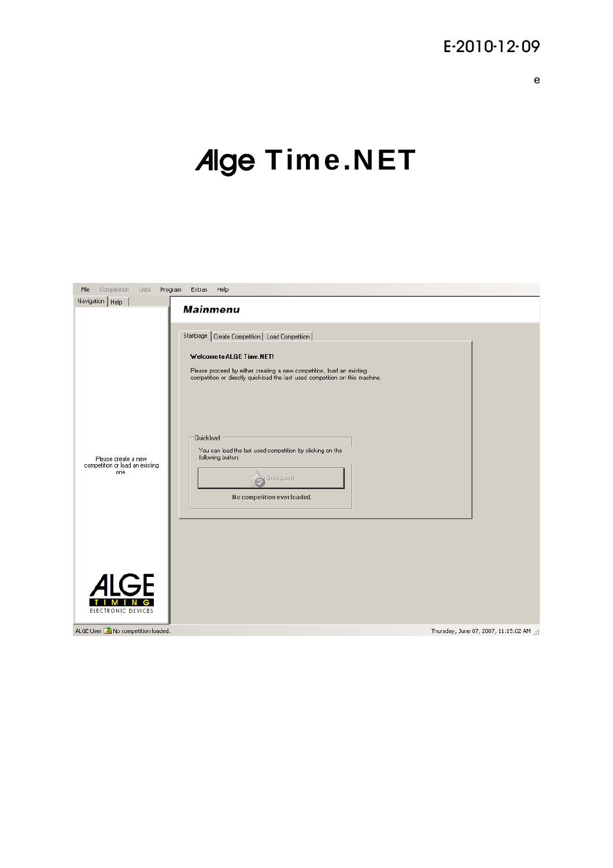# E-2010-12- 09

# Alge Time.NET

| File | Competition                               | Lists | Program | Extras          | Help                                                                                                                                                  |
|------|-------------------------------------------|-------|---------|-----------------|-------------------------------------------------------------------------------------------------------------------------------------------------------|
|      | Navigation   Help                         |       |         | <b>Mainmenu</b> |                                                                                                                                                       |
|      |                                           |       |         |                 |                                                                                                                                                       |
|      |                                           |       |         |                 | Startpage   Create Competition   Load Competition                                                                                                     |
|      |                                           |       |         |                 | Welcome to ALGE Time.NET!                                                                                                                             |
|      |                                           |       |         |                 | Please proceed by either creating a new competition, load an existing<br>competition or directly quickload the last used competition on this machine. |
|      |                                           |       |         |                 |                                                                                                                                                       |
|      |                                           |       |         | Quickload       |                                                                                                                                                       |
|      | Please create a new                       |       |         |                 | You can load the last used competition by clicking on the<br>following button:                                                                        |
|      | competition or load an existing<br>one.   |       |         |                 | QuickLoad                                                                                                                                             |
|      |                                           |       |         |                 | No competition ever loaded.                                                                                                                           |
|      |                                           |       |         |                 |                                                                                                                                                       |
|      |                                           |       |         |                 |                                                                                                                                                       |
|      |                                           |       |         |                 |                                                                                                                                                       |
|      |                                           |       |         |                 |                                                                                                                                                       |
|      | <i>A</i> IGE                              |       |         |                 |                                                                                                                                                       |
|      | ELECTRONIC DEVICES                        |       |         |                 |                                                                                                                                                       |
|      | ALGE User <b>1</b> No competition loaded. |       |         |                 | Thursday, June 07, 2007, 11:15:02 AM                                                                                                                  |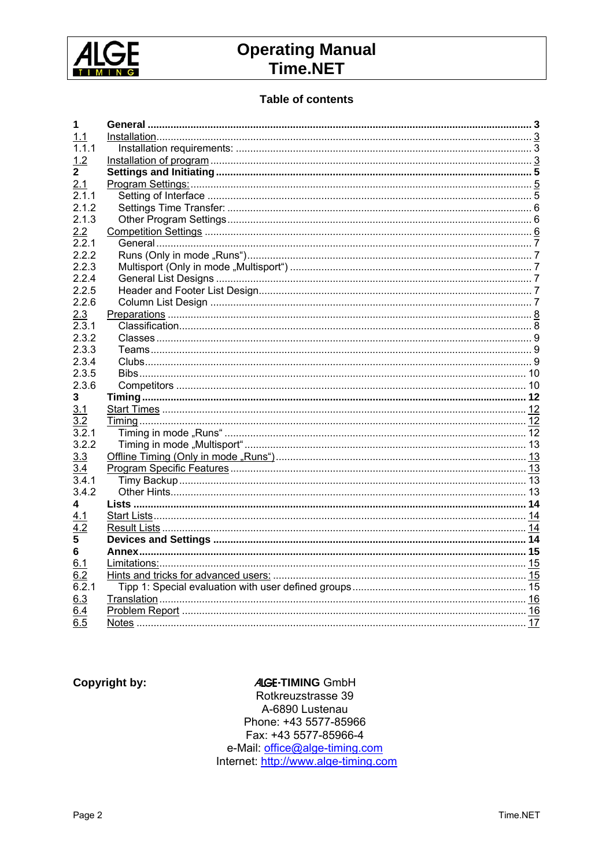

#### **Table of contents**

| 1            |  |
|--------------|--|
| 1.1          |  |
| 1.1.1        |  |
|              |  |
| 1.2          |  |
| $\mathbf{2}$ |  |
| 2.1          |  |
| 2.1.1        |  |
| 2.1.2        |  |
| 2.1.3        |  |
| 2.2          |  |
| 2.2.1        |  |
| 2.2.2        |  |
| 2.2.3        |  |
| 2.2.4        |  |
| 2.2.5        |  |
| 2.2.6        |  |
| 2.3          |  |
| 2.3.1        |  |
| 2.3.2        |  |
| 2.3.3        |  |
|              |  |
| 2.3.4        |  |
| 2.3.5        |  |
| 2.3.6        |  |
| 3            |  |
| 3.1          |  |
| 3.2          |  |
| 3.2.1        |  |
| 3.2.2        |  |
| 3.3          |  |
| 3.4          |  |
| 3.4.1        |  |
| 3.4.2        |  |
| 4            |  |
| 4.1          |  |
| 4.2          |  |
| 5            |  |
|              |  |
| 6            |  |
| 6.1          |  |
| 6.2          |  |
| 6.2.1        |  |
| 6.3          |  |
| 6.4          |  |
| 6.5          |  |

**Copyright by:** 

#### **ALGE-TIMING GmbH**

Rotkreuzstrasse 39 A-6890 Lustenau Phone: +43 5577-85966 Fax: +43 5577-85966-4 e-Mail: office@alge-timing.com<br>Internet: http://www.alge-timing.com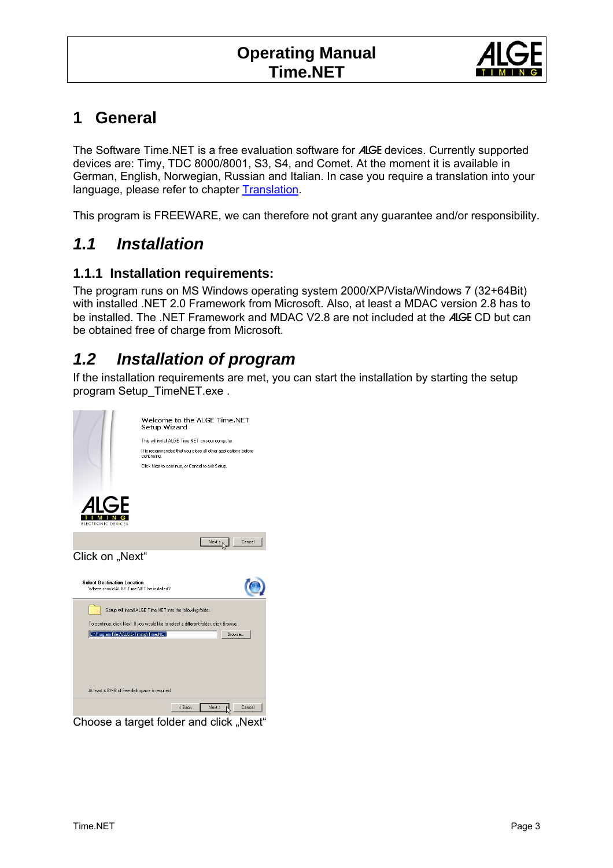

### <span id="page-2-0"></span>**1 General**

The Software Time.NET is a free evaluation software for ALGE devices. Currently supported devices are: Timy, TDC 8000/8001, S3, S4, and Comet. At the moment it is available in German, English, Norwegian, Russian and Italian. In case you require a translation into your language, please refer to chapter [Translation.](#page-15-0)

This program is FREEWARE, we can therefore not grant any guarantee and/or responsibility.

### *1.1 Installation*

#### **1.1.1 Installation requirements:**

The program runs on MS Windows operating system 2000/XP/Vista/Windows 7 (32+64Bit) with installed .NET 2.0 Framework from Microsoft. Also, at least a MDAC version 2.8 has to be installed. The .NET Framework and MDAC V2.8 are not included at the ALGE CD but can be obtained free of charge from Microsoft.

### *1.2 Installation of program*

If the installation requirements are met, you can start the installation by starting the setup program Setup\_TimeNET.exe .

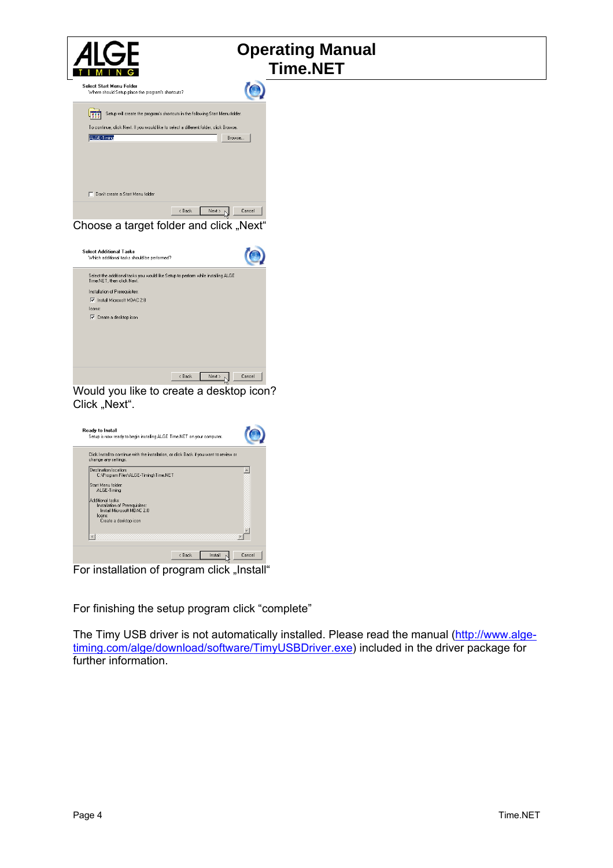



For installation of program click "Install"

For finishing the setup program click "complete"

The Timy USB driver is not automatically installed. Please read the manual ([http://www.alge](http://www.alge-timing.com/alge/download/software/TimyUSBDriver.exe)[timing.com/alge/download/software/TimyUSBDriver.exe](http://www.alge-timing.com/alge/download/software/TimyUSBDriver.exe)) included in the driver package for further information.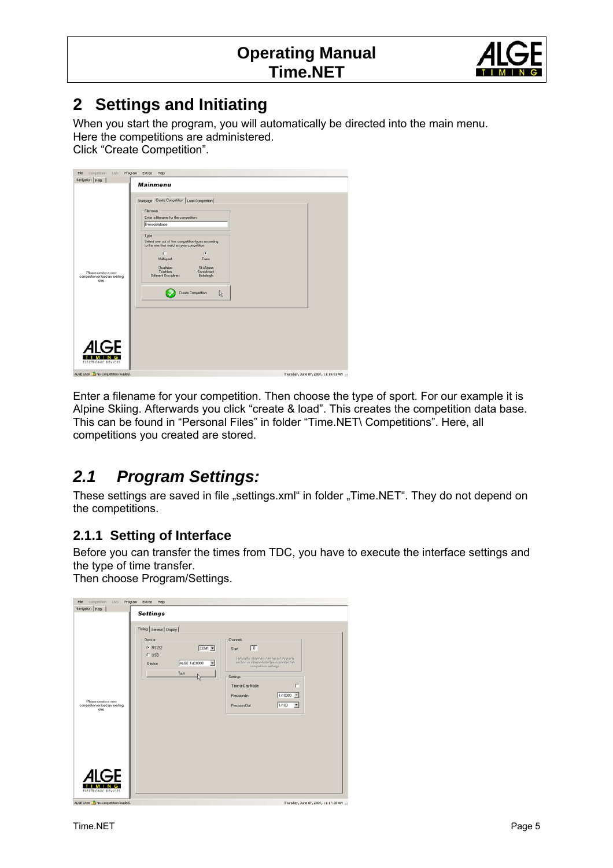

# <span id="page-4-0"></span>**2 Settings and Initiating**

When you start the program, you will automatically be directed into the main menu. Here the competitions are administered.

Click "Create Competition".

| Competition Lists Program Extras Help<br>File          |                                                                                                                                                                                                                                                                                                                                                                                                 |
|--------------------------------------------------------|-------------------------------------------------------------------------------------------------------------------------------------------------------------------------------------------------------------------------------------------------------------------------------------------------------------------------------------------------------------------------------------------------|
| Navigation Help                                        |                                                                                                                                                                                                                                                                                                                                                                                                 |
| Please create a new<br>competition or load an existing | <b>Mainmenu</b><br>Startpage Create Competition   Load Competition  <br>Filename<br>Enter a filename for the competition<br>Demodatabase<br>Type<br>Select one out of two competition-types according<br>to the one that matches your competition<br>C<br>$\widehat{G}$<br><b>Buns</b><br>Multisport<br>Dualition<br>Ski Alpine<br>Snowboard<br>Triathlon<br>Different Disciplines<br>Bobsleigh |
| one.<br>GF<br>ELECTRONIC DEVICES                       | <b>Create Competition</b><br>4                                                                                                                                                                                                                                                                                                                                                                  |
| ALGE User 2 No competition loaded.                     | Thursday, June 07, 2007, 11:16:01 AM                                                                                                                                                                                                                                                                                                                                                            |

Enter a filename for your competition. Then choose the type of sport. For our example it is Alpine Skiing. Afterwards you click "create & load". This creates the competition data base. This can be found in "Personal Files" in folder "Time.NET\ Competitions". Here, all competitions you created are stored.

### *2.1 Program Settings:*

These settings are saved in file "settings.xml" in folder "Time.NET". They do not depend on the competitions.

#### **2.1.1 Setting of Interface**

Before you can transfer the times from TDC, you have to execute the interface settings and the type of time transfer.

Then choose Program/Settings.

| Competition Lists<br>File                                      | Program Extras Help                                                                                                                                                                                                                                                                                                                                                                                                        |
|----------------------------------------------------------------|----------------------------------------------------------------------------------------------------------------------------------------------------------------------------------------------------------------------------------------------------------------------------------------------------------------------------------------------------------------------------------------------------------------------------|
| Navigation Help                                                |                                                                                                                                                                                                                                                                                                                                                                                                                            |
| Please create a new<br>competition or load an existing<br>one. | <b>Settings</b><br>Timing General Display<br>Channels<br><b>Device</b><br>$G$ RS232<br>$\sqrt{a}$<br>COM1 ▼<br>Start<br>$C$ USB<br>Indiviudal channels can be set for each<br><b>ALGE TdC8000</b><br>section or intermediate/finish point in the<br>$\overline{\phantom{a}}$<br>Device<br>competition settings.<br>Test<br>Settings<br>п<br>Time-of-Day-Mode<br>$1/10000 =$<br>Precision In<br>론<br>1/100<br>Precision Out |
| ЭF<br>ELECTRONIC DEVICES<br>ALGE User 1 No competition loaded. | Thursday, June 07, 2007, 11:17:28 AM .:                                                                                                                                                                                                                                                                                                                                                                                    |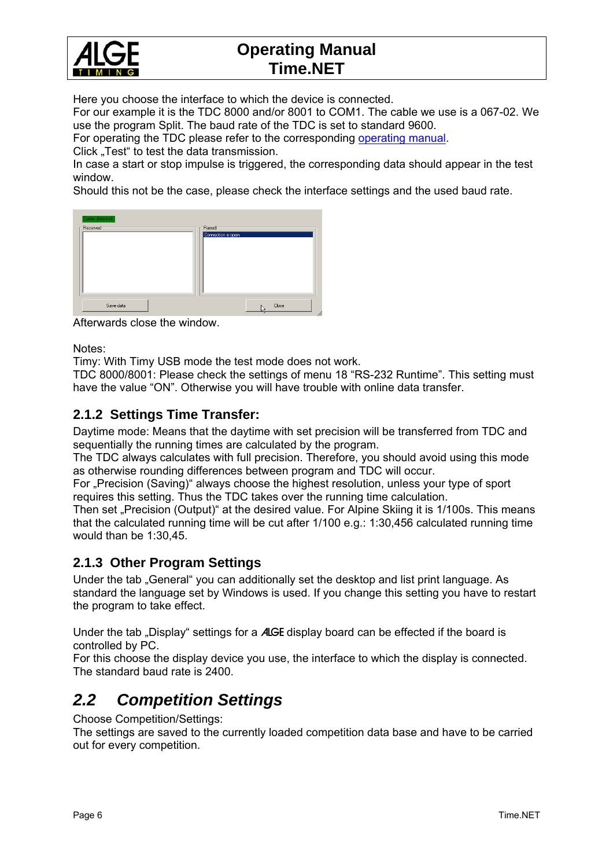<span id="page-5-0"></span>

Here you choose the interface to which the device is connected.

For our example it is the TDC 8000 and/or 8001 to COM1. The cable we use is a 067-02. We use the program Split. The baud rate of the TDC is set to standard 9600.

For operating the TDC please refer to the corresponding [operating manual.](http://www.alge-timing.com/alge/download/manual/tdc8001/TdC8001_BD.pdf)

Click "Test" to test the data transmission.

In case a start or stop impulse is triggered, the corresponding data should appear in the test window.

Should this not be the case, please check the interface settings and the used baud rate.

| Carrier detected      |                              |
|-----------------------|------------------------------|
| Received <sup>-</sup> | Parsed<br>Connection is open |
|                       |                              |
|                       |                              |
|                       |                              |
|                       |                              |
|                       |                              |
| Save data             | Close<br>h,                  |

Afterwards close the window.

Notes:

Timy: With Timy USB mode the test mode does not work.

TDC 8000/8001: Please check the settings of menu 18 "RS-232 Runtime". This setting must have the value "ON". Otherwise you will have trouble with online data transfer.

#### **2.1.2 Settings Time Transfer:**

Daytime mode: Means that the daytime with set precision will be transferred from TDC and sequentially the running times are calculated by the program.

The TDC always calculates with full precision. Therefore, you should avoid using this mode as otherwise rounding differences between program and TDC will occur.

For "Precision (Saving)" always choose the highest resolution, unless your type of sport requires this setting. Thus the TDC takes over the running time calculation.

Then set "Precision (Output)" at the desired value. For Alpine Skiing it is 1/100s. This means that the calculated running time will be cut after 1/100 e.g.: 1:30,456 calculated running time would than be 1:30,45.

#### **2.1.3 Other Program Settings**

Under the tab "General" you can additionally set the desktop and list print language. As standard the language set by Windows is used. If you change this setting you have to restart the program to take effect.

Under the tab "Display" settings for a ALGE display board can be effected if the board is controlled by PC.

For this choose the display device you use, the interface to which the display is connected. The standard baud rate is 2400.

### *2.2 Competition Settings*

Choose Competition/Settings:

The settings are saved to the currently loaded competition data base and have to be carried out for every competition.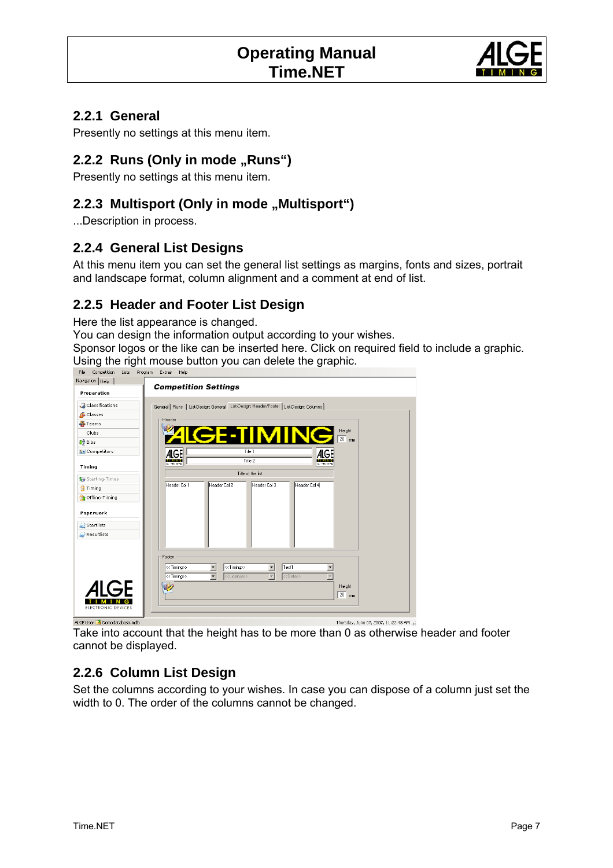

#### <span id="page-6-0"></span>**2.2.1 General**

Presently no settings at this menu item.

#### **2.2.2 Runs (Only in mode , Runs**")

Presently no settings at this menu item.

#### **2.2.3 Multisport (Only in mode , Multisport**")

...Description in process.

#### **2.2.4 General List Designs**

At this menu item you can set the general list settings as margins, fonts and sizes, portrait and landscape format, column alignment and a comment at end of list.

#### **2.2.5 Header and Footer List Design**

Here the list appearance is changed.

You can design the information output according to your wishes.

Sponsor logos or the like can be inserted here. Click on required field to include a graphic. Using the right mouse button you can delete the graphic.<br>  $\frac{1}{\text{File}}$  Competition Lists Program Extras Help



ALGE User 1 Demodatabase.mdb

Thursday, June 07, 2007, 11:22:48 AM ...

Take into account that the height has to be more than 0 as otherwise header and footer cannot be displayed.

#### **2.2.6 Column List Design**

Set the columns according to your wishes. In case you can dispose of a column just set the width to 0. The order of the columns cannot be changed.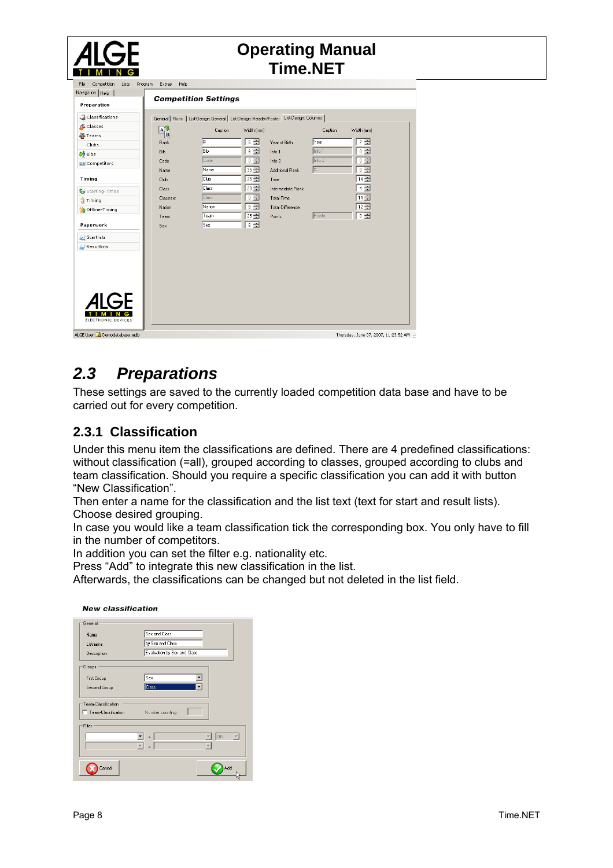<span id="page-7-0"></span>

|                                                                                                                                                                                        |                                                                                                      |                                                                                                                                                                            |                                                             | <b>Operating Manual</b><br><b>Time.NET</b>                    |                                          |                                                                           |
|----------------------------------------------------------------------------------------------------------------------------------------------------------------------------------------|------------------------------------------------------------------------------------------------------|----------------------------------------------------------------------------------------------------------------------------------------------------------------------------|-------------------------------------------------------------|---------------------------------------------------------------|------------------------------------------|---------------------------------------------------------------------------|
| Competition<br>File<br>Lists<br>Navigation   Help<br>Preparation<br>Classifications<br>Classes<br><b>A</b> Teams<br>Clubs<br><b>JA</b> Bibs<br><b>All Competitors</b><br><b>Timing</b> | Program<br>Extras<br>Help<br>$\mathbf{A}^{\prime\prime}$<br>B<br>Rank<br>Bib<br>Code<br>Name<br>Club | <b>Competition Settings</b><br>General   Runs   List-Design: General   List-Design: Header/Footer   List-Design: Columns  <br>Caption<br> #<br>Bib<br>Code<br>Name<br>Club | Width (mm)<br>$6 -$<br>$6 -$<br>$0 -$<br>$35 -$<br>$25 - 1$ | Year of Birth<br>Info 1<br>Info 2<br>Additional Rank<br>Time  | Caption<br>Year<br>Info 1<br>Info 2<br># | Width [mm]<br>$7 -$<br>$0 \rightleftharpoons$<br>$0 -$<br>$0 -$<br>$14 -$ |
| Starting-Times<br><b>Timing</b><br>Offline-Timing<br>Paperwork<br>Startlists<br><b>Resultlists</b>                                                                                     | Class<br>Classtext<br>Nation<br>Team<br>Sex                                                          | Class<br>Class<br>Nation<br>Team<br>Sex                                                                                                                                    | $20 -$<br>$0 -$<br>$\overline{\cdot}$<br>$25 -$<br>$6 -$    | Intermediate Rank<br>Total-Time<br>Total-Difference<br>Points | Points                                   | $4 \rightleftharpoons$<br>$14 -$<br>$12 -$<br>$\overline{0}$ $\equiv$     |
| AI GF<br><b>ELECTRONIC DEVICES</b>                                                                                                                                                     |                                                                                                      |                                                                                                                                                                            |                                                             |                                                               |                                          |                                                                           |

### *2.3 Preparations*

These settings are saved to the currently loaded competition data base and have to be carried out for every competition.

#### **2.3.1 Classification**

Under this menu item the classifications are defined. There are 4 predefined classifications: without classification (=all), grouped according to classes, grouped according to clubs and team classification. Should you require a specific classification you can add it with button "New Classification".

Then enter a name for the classification and the list text (text for start and result lists). Choose desired grouping.

In case you would like a team classification tick the corresponding box. You only have to fill in the number of competitors.

In addition you can set the filter e.g. nationality etc.

Press "Add" to integrate this new classification in the list.

Afterwards, the classifications can be changed but not deleted in the list field.

| General             |                                        |
|---------------------|----------------------------------------|
| Name                | Sex and Class                          |
| Listname            | by Sex and Class                       |
| Description         | Evaluation by Sex and Class            |
| Groups              |                                        |
| <b>First Group</b>  | Sex                                    |
| Second Group        | <b>Class</b>                           |
| Team-Classification |                                        |
| Team-Classification | Number counting                        |
| Filter              |                                        |
|                     | OR.<br>$\overline{\phantom{a}}$<br>$=$ |
|                     | $=$                                    |
| Cancel              | Add                                    |

#### New algoeification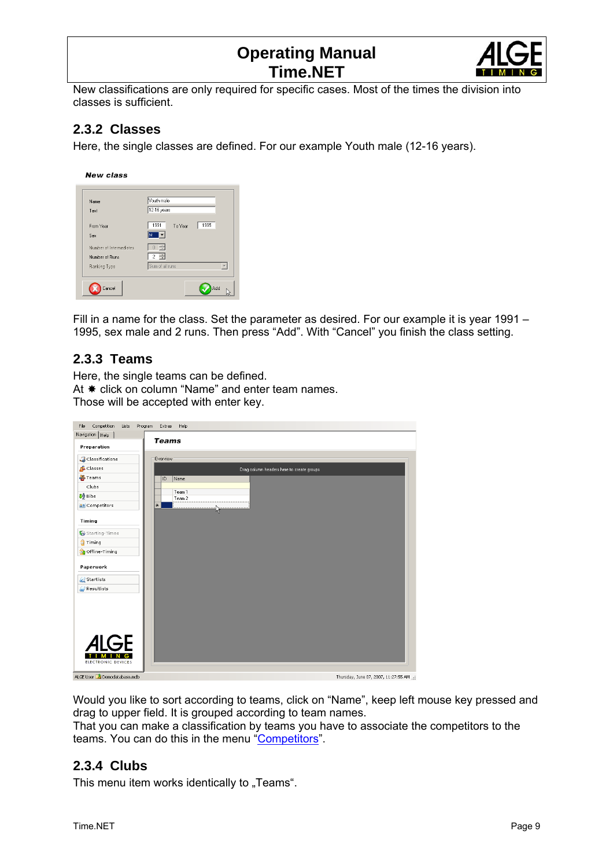

<span id="page-8-0"></span>New classifications are only required for specific cases. Most of the times the division into classes is sufficient.

#### **2.3.2 Classes**

Here, the single classes are defined. For our example Youth male (12-16 years).

**New class** 

| Text                    | 12-16 years             |
|-------------------------|-------------------------|
| From Year               | 1991<br>1995<br>To Year |
| Sex                     |                         |
| Number of Intermediates | $0 \rightleftharpoons$  |
| Number of Runs          | $2 \div$                |
| Ranking-Type            | Sum of all runs         |

Fill in a name for the class. Set the parameter as desired. For our example it is year 1991 – 1995, sex male and 2 runs. Then press "Add". With "Cancel" you finish the class setting.

#### **2.3.3 Teams**

Here, the single teams can be defined. At  $*$  click on column "Name" and enter team names. Those will be accepted with enter key.

| File<br>Competition<br>Lists | Help<br>Program<br>Extras                 |
|------------------------------|-------------------------------------------|
| Navigation   Help            | <b>Teams</b>                              |
| Preparation                  |                                           |
| Classifications              | <b>Overview</b>                           |
| <b>G</b> Classes             | Drag column headers here to create groups |
| <b>DE</b> Teams              | ID<br>Name                                |
| Clubs                        |                                           |
| <b>JA</b> Bibs               | Team 1<br>Team 2                          |
| <b>All</b> Competitors       | $\left  * \right $<br>۱š                  |
| <b>Timing</b>                |                                           |
| Starting-Times               |                                           |
| <b>Timing</b>                |                                           |
| Offline-Timing               |                                           |
| Paperwork                    |                                           |
| <b>Startlists</b>            |                                           |
| Resultlists                  |                                           |
|                              |                                           |
|                              |                                           |
|                              |                                           |
|                              |                                           |
|                              |                                           |
| <b>ALGE</b>                  |                                           |
| G<br>M<br>$\blacksquare$     |                                           |
| ELECTRONIC DEVICES           |                                           |
| ALGE User 1 Demodatabase.mdb | Thursday, June 07, 2007, 11:27:55 AM      |

Would you like to sort according to teams, click on "Name", keep left mouse key pressed and drag to upper field. It is grouped according to team names.

That you can make a classification by teams you have to associate the competitors to the teams. You can do this in the menu ["Competitors](#page-9-0)".

#### **2.3.4 Clubs**

This menu item works identically to "Teams".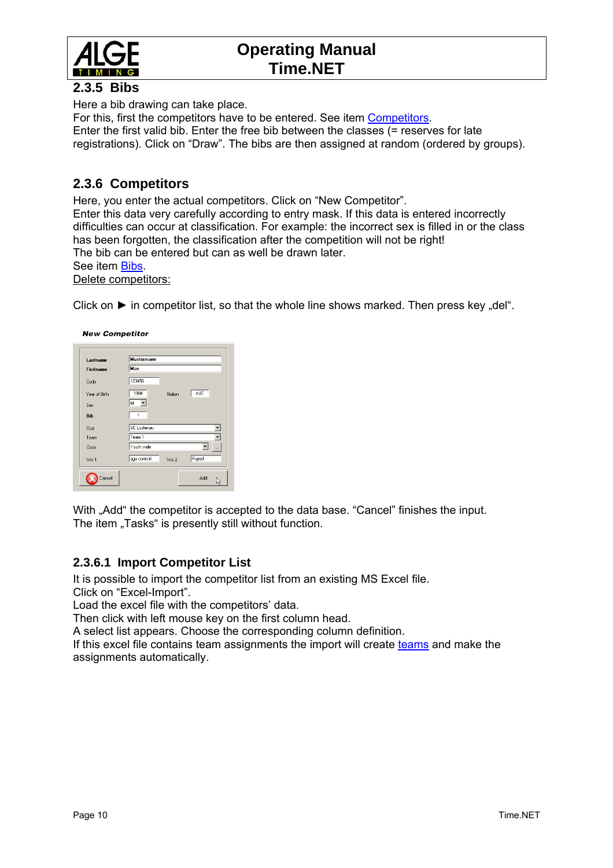<span id="page-9-0"></span>

#### **2.3.5 Bibs**

Here a bib drawing can take place.

For this, first the competitors have to be entered. See item [Competitors](#page-9-0). Enter the first valid bib. Enter the free bib between the classes (= reserves for late registrations). Click on "Draw". The bibs are then assigned at random (ordered by groups).

#### **2.3.6 Competitors**

Here, you enter the actual competitors. Click on "New Competitor". Enter this data very carefully according to entry mask. If this data is entered incorrectly difficulties can occur at classification. For example: the incorrect sex is filled in or the class has been forgotten, the classification after the competition will not be right! The bib can be entered but can as well be drawn later. See item [Bibs.](#page-9-0) Delete competitors:

Click on  $\blacktriangleright$  in competitor list, so that the whole line shows marked. Then press key "del".

| Lastname         | Mustermann         |        |       |
|------------------|--------------------|--------|-------|
| <b>Firstname</b> | Max                |        |       |
| Code             | 123456             |        |       |
| Year of Birth    | 1994               | Nation | AUT   |
| Sex              | M                  |        |       |
| Bib              | 1                  |        |       |
| Club             | <b>SC Lustenau</b> |        |       |
| Team             | Team 1             |        |       |
| Class            | Youth male         |        |       |
| Info 1           | age controll       | Info 2 | Payed |

With "Add" the competitor is accepted to the data base. "Cancel" finishes the input. The item "Tasks" is presently still without function.

#### **2.3.6.1 Import Competitor List**

It is possible to import the competitor list from an existing MS Excel file. Click on "Excel-Import".

Load the excel file with the competitors' data.

Then click with left mouse key on the first column head.

A select list appears. Choose the corresponding column definition.

If this excel file contains team assignments the import will create [teams](#page-8-0) and make the assignments automatically.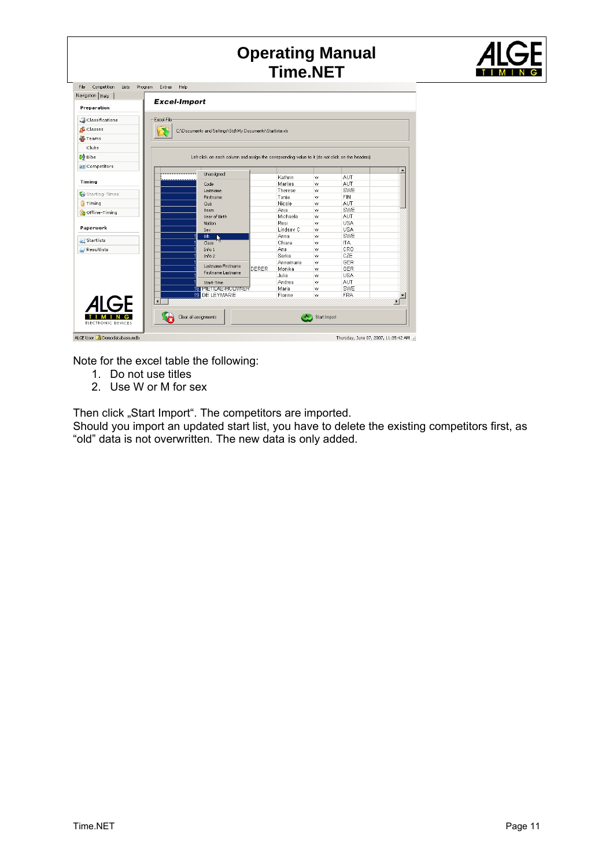|                                          |                                                                                                  |       | <b>Time.NET</b> |              | <b>Operating Manual</b> |                                               |
|------------------------------------------|--------------------------------------------------------------------------------------------------|-------|-----------------|--------------|-------------------------|-----------------------------------------------|
| File Competition<br>Lists Program Extras | Help                                                                                             |       |                 |              |                         |                                               |
| Navigation   Help                        |                                                                                                  |       |                 |              |                         |                                               |
| Preparation                              | <b>Excel-Import</b>                                                                              |       |                 |              |                         |                                               |
|                                          |                                                                                                  |       |                 |              |                         |                                               |
| Classifications<br>Excel-File            |                                                                                                  |       |                 |              |                         |                                               |
| <b>G</b> Classes                         | C:\Documents and Settings\Std\My Documents\Startliste.xls                                        |       |                 |              |                         |                                               |
| <b>D</b> Teams                           |                                                                                                  |       |                 |              |                         |                                               |
|                                          |                                                                                                  |       |                 |              |                         |                                               |
| Clubs                                    |                                                                                                  |       |                 |              |                         |                                               |
| <b>JA</b> Bibs                           | Left-click on each column and assign the correpsonding value to it (do not click on the headers) |       |                 |              |                         |                                               |
| <b>All Competitors</b>                   |                                                                                                  |       |                 |              |                         |                                               |
|                                          | Unassigned                                                                                       |       | Kathrin         | W            | AUT                     | $\blacktriangle$                              |
| <b>Timing</b>                            | Code                                                                                             |       | Marlies         | w            | AUT                     |                                               |
|                                          | Lastname                                                                                         |       | Therese         | w            | SWE                     |                                               |
| Starting-Times                           | Firstname                                                                                        |       | Tanja           | W            | <b>FIN</b>              |                                               |
| <b>S</b> Timing                          | Club                                                                                             |       | Nicole          | w            | AUT                     |                                               |
| Offline-Timing                           | Team                                                                                             |       | Ania            | W            | SWE                     |                                               |
|                                          | Year of Birth                                                                                    |       | Michaela        | W            | AUT                     |                                               |
| Paperwork                                | Nation                                                                                           |       | Resi            | W            | <b>USA</b>              |                                               |
|                                          | <b>Sex</b>                                                                                       |       | Lindsey C       | W            | <b>USA</b>              |                                               |
| <b>C</b> Startlists                      | Bib<br>Class                                                                                     |       | Anna<br>Chiara  | W<br>W       | SWE<br><b>ITA</b>       |                                               |
| Resultlists                              | Info 1                                                                                           |       | Ana             | W            | CRO                     |                                               |
|                                          | Info 2                                                                                           |       | Sarka           | W            | CZE                     |                                               |
|                                          |                                                                                                  |       | Annemarie       | W            | GER                     |                                               |
|                                          | Lastname Firstname                                                                               | DERER | Monika          | W            | GER                     |                                               |
|                                          | Firstname Lastname                                                                               |       | Julia           | W            | <b>USA</b>              |                                               |
|                                          | Start-Time                                                                                       |       | Andrea          | w            | AUT                     |                                               |
|                                          | 18 PIETILAE-HULMNER                                                                              |       | Maria           | W            | SWE                     |                                               |
| $\overline{\mathbf{1}}$                  | 19 DE LEYMARIE                                                                                   |       | Florine         | w            | <b>FRA</b>              | $\blacktriangledown$<br>$\blacktriangleright$ |
| <i>A</i> IGF                             |                                                                                                  |       |                 |              |                         |                                               |
|                                          |                                                                                                  |       |                 |              |                         |                                               |
| $\bullet$<br><b>ELECTRONIC DEVICES</b>   | Clear all assignments                                                                            |       |                 | Start Import |                         |                                               |

Note for the excel table the following:

- 1. Do not use titles
- 2. Use W or M for sex

Then click "Start Import". The competitors are imported.

Should you import an updated start list, you have to delete the existing competitors first, as "old" data is not overwritten. The new data is only added.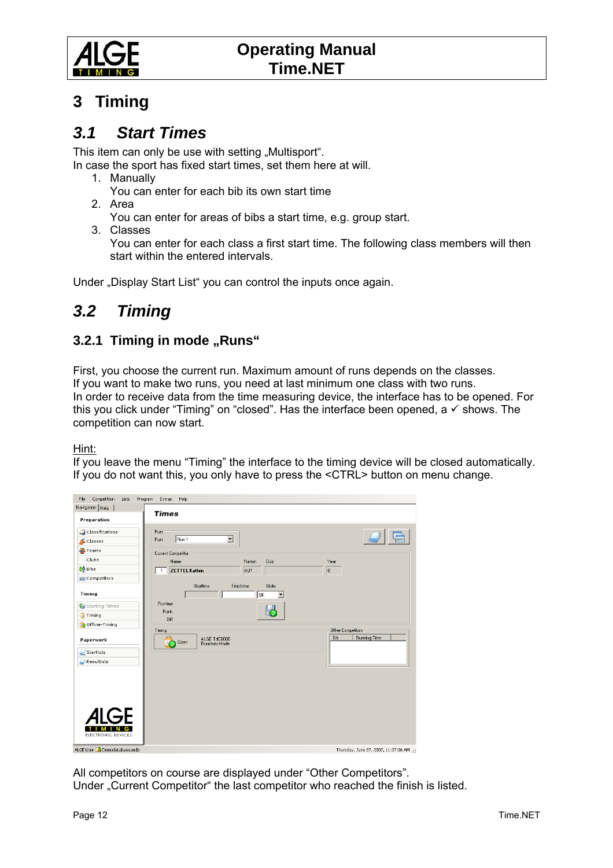<span id="page-11-0"></span>

## **3 Timing**

### *3.1 Start Times*

This item can only be use with setting "Multisport".

In case the sport has fixed start times, set them here at will.

- 1. Manually
	- You can enter for each bib its own start time
- 2. Area

You can enter for areas of bibs a start time, e.g. group start.

3. Classes

You can enter for each class a first start time. The following class members will then start within the entered intervals.

Under "Display Start List" you can control the inputs once again.

# *3.2 Timing*

#### **3.2.1 Timing in mode "Runs"**

First, you choose the current run. Maximum amount of runs depends on the classes. If you want to make two runs, you need at last minimum one class with two runs. In order to receive data from the time measuring device, the interface has to be opened. For this you click under "Timing" on "closed". Has the interface been opened, a  $\checkmark$  shows. The competition can now start.

#### Hint:

If you leave the menu "Timing" the interface to the timing device will be closed automatically. If you do not want this, you only have to press the <CTRL> button on menu change.



All competitors on course are displayed under "Other Competitors".

Under "Current Competitor" the last competitor who reached the finish is listed.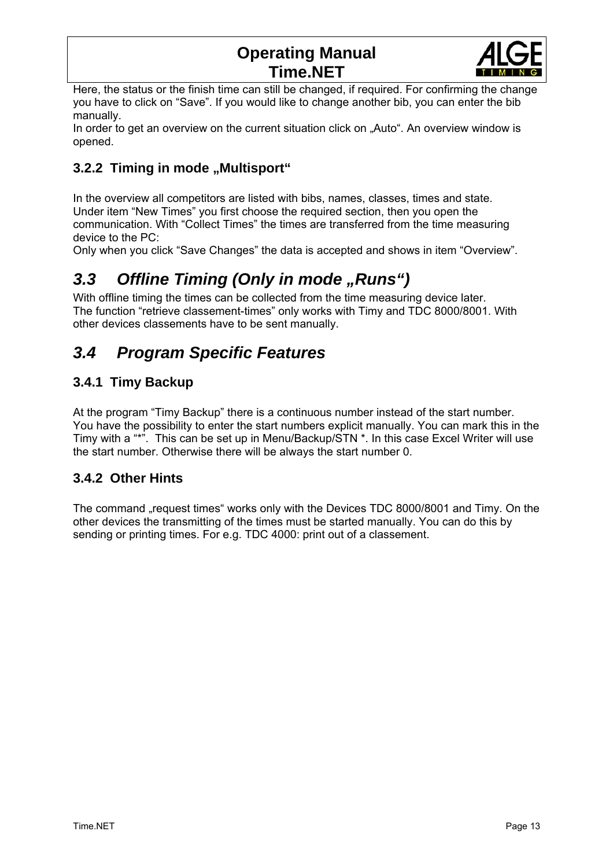

<span id="page-12-0"></span>Here, the status or the finish time can still be changed, if required. For confirming the change you have to click on "Save". If you would like to change another bib, you can enter the bib manually.

In order to get an overview on the current situation click on "Auto". An overview window is opened.

#### **3.2.2 Timing in mode "Multisport"**

In the overview all competitors are listed with bibs, names, classes, times and state. Under item "New Times" you first choose the required section, then you open the communication. With "Collect Times" the times are transferred from the time measuring device to the PC:

Only when you click "Save Changes" the data is accepted and shows in item "Overview".

# 3.3 Offline Timing (Only in mode "Runs")

With offline timing the times can be collected from the time measuring device later. The function "retrieve classement-times" only works with Timy and TDC 8000/8001. With other devices classements have to be sent manually.

# *3.4 Program Specific Features*

#### **3.4.1 Timy Backup**

At the program "Timy Backup" there is a continuous number instead of the start number. You have the possibility to enter the start numbers explicit manually. You can mark this in the Timy with a "\*". This can be set up in Menu/Backup/STN \*. In this case Excel Writer will use the start number. Otherwise there will be always the start number 0.

#### **3.4.2 Other Hints**

The command "request times" works only with the Devices TDC 8000/8001 and Timy. On the other devices the transmitting of the times must be started manually. You can do this by sending or printing times. For e.g. TDC 4000: print out of a classement.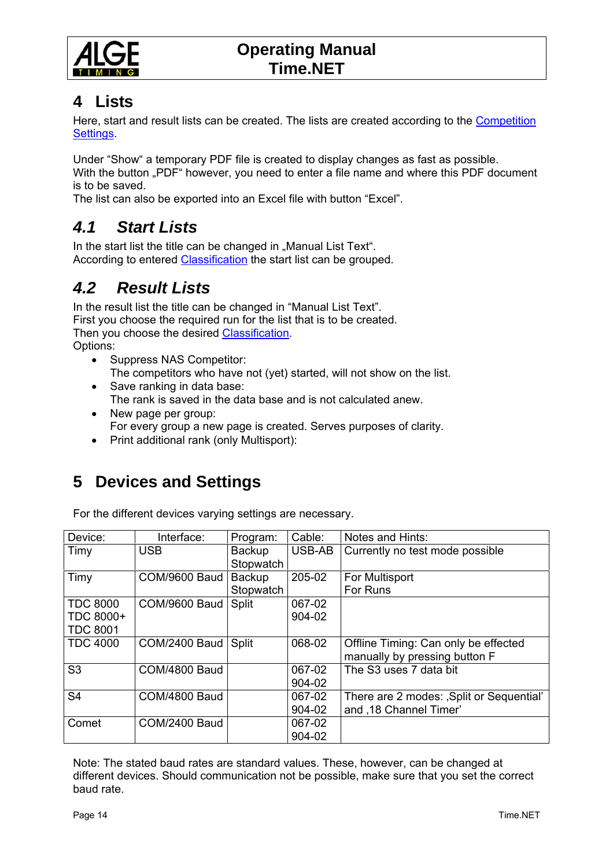<span id="page-13-0"></span>

### **4 Lists**

Here, start and result lists can be created. The lists are created according to the [Competition](#page-5-0)  [Settings.](#page-5-0)

Under "Show" a temporary PDF file is created to display changes as fast as possible. With the button "PDF" however, you need to enter a file name and where this PDF document is to be saved.

The list can also be exported into an Excel file with button "Excel".

### *4.1 Start Lists*

In the start list the title can be changed in "Manual List Text". According to entered [Classification](#page-7-0) the start list can be grouped.

# *4.2 Result Lists*

In the result list the title can be changed in "Manual List Text". First you choose the required run for the list that is to be created. Then you choose the desired [Classification.](#page-7-0) Options:

- Suppress NAS Competitor: The competitors who have not (yet) started, will not show on the list.
- Save ranking in data base: The rank is saved in the data base and is not calculated anew.
- New page per group: For every group a new page is created. Serves purposes of clarity.
- Print additional rank (only Multisport):

# **5 Devices and Settings**

For the different devices varying settings are necessary.

| Device:         | Interface:    | Program:      | Cable: | Notes and Hints:                          |
|-----------------|---------------|---------------|--------|-------------------------------------------|
| Timy            | <b>USB</b>    | <b>Backup</b> | USB-AB | Currently no test mode possible           |
|                 |               | Stopwatch     |        |                                           |
| Timy            | COM/9600 Baud | <b>Backup</b> | 205-02 | For Multisport                            |
|                 |               | Stopwatch     |        | For Runs                                  |
| <b>TDC 8000</b> | COM/9600 Baud | Split         | 067-02 |                                           |
| TDC 8000+       |               |               | 904-02 |                                           |
| <b>TDC 8001</b> |               |               |        |                                           |
| <b>TDC 4000</b> | COM/2400 Baud | Split         | 068-02 | Offline Timing: Can only be effected      |
|                 |               |               |        | manually by pressing button F             |
| S <sub>3</sub>  | COM/4800 Baud |               | 067-02 | The S3 uses 7 data bit                    |
|                 |               |               | 904-02 |                                           |
| S <sub>4</sub>  | COM/4800 Baud |               | 067-02 | There are 2 modes: , Split or Sequential' |
|                 |               |               | 904-02 | and ,18 Channel Timer'                    |
| Comet           | COM/2400 Baud |               | 067-02 |                                           |
|                 |               |               | 904-02 |                                           |

Note: The stated baud rates are standard values. These, however, can be changed at different devices. Should communication not be possible, make sure that you set the correct baud rate.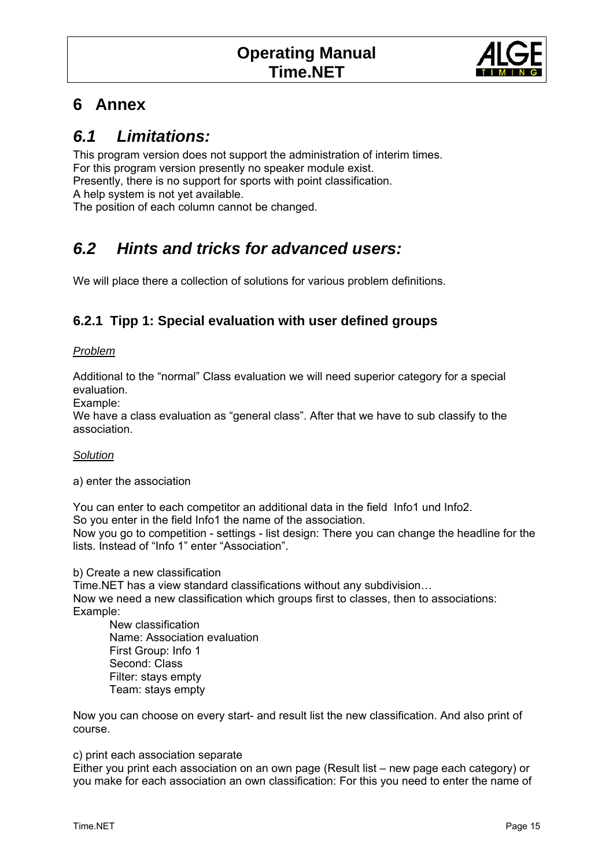

## <span id="page-14-0"></span>**6 Annex**

### *6.1 Limitations:*

This program version does not support the administration of interim times. For this program version presently no speaker module exist. Presently, there is no support for sports with point classification. A help system is not yet available. The position of each column cannot be changed.

# *6.2 Hints and tricks for advanced users:*

We will place there a collection of solutions for various problem definitions.

#### **6.2.1 Tipp 1: Special evaluation with user defined groups**

#### *Problem*

Additional to the "normal" Class evaluation we will need superior category for a special evaluation.

Example:

We have a class evaluation as "general class". After that we have to sub classify to the association.

#### *Solution*

a) enter the association

You can enter to each competitor an additional data in the field Info1 und Info2. So you enter in the field Info1 the name of the association. Now you go to competition - settings - list design: There you can change the headline for the lists. Instead of "Info 1" enter "Association".

b) Create a new classification

Time.NET has a view standard classifications without any subdivision… Now we need a new classification which groups first to classes, then to associations: Example:

 New classification Name: Association evaluation First Group: Info 1 Second: Class Filter: stays empty Team: stays empty

Now you can choose on every start- and result list the new classification. And also print of course.

#### c) print each association separate

Either you print each association on an own page (Result list – new page each category) or you make for each association an own classification: For this you need to enter the name of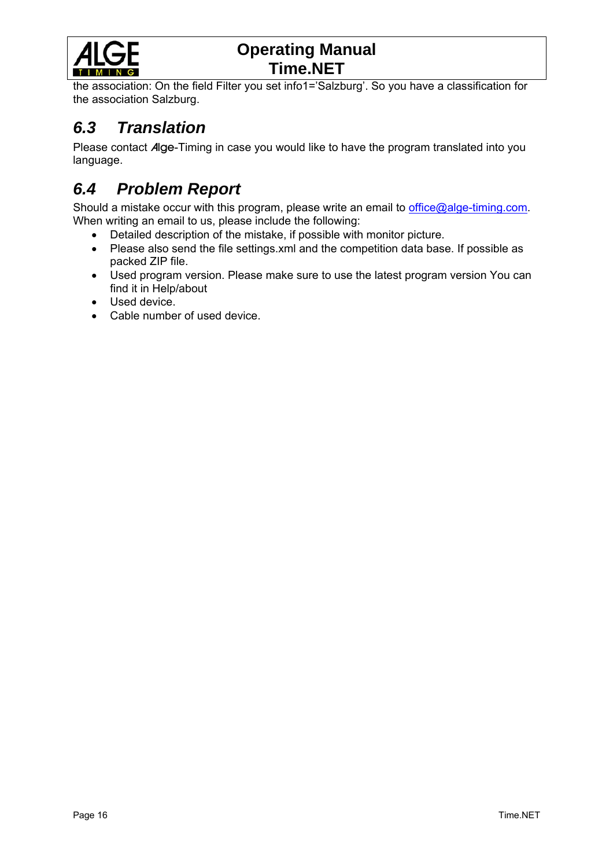<span id="page-15-0"></span>

the association: On the field Filter you set info1='Salzburg'. So you have a classification for the association Salzburg.

### *6.3 Translation*

Please contact Alge-Timing in case you would like to have the program translated into you language.

# *6.4 Problem Report*

Should a mistake occur with this program, please write an email to *office@alge-timing.com*. When writing an email to us, please include the following:

- Detailed description of the mistake, if possible with monitor picture.
- Please also send the file settings.xml and the competition data base. If possible as packed ZIP file.
- Used program version. Please make sure to use the latest program version You can find it in Help/about
- Used device.
- Cable number of used device.